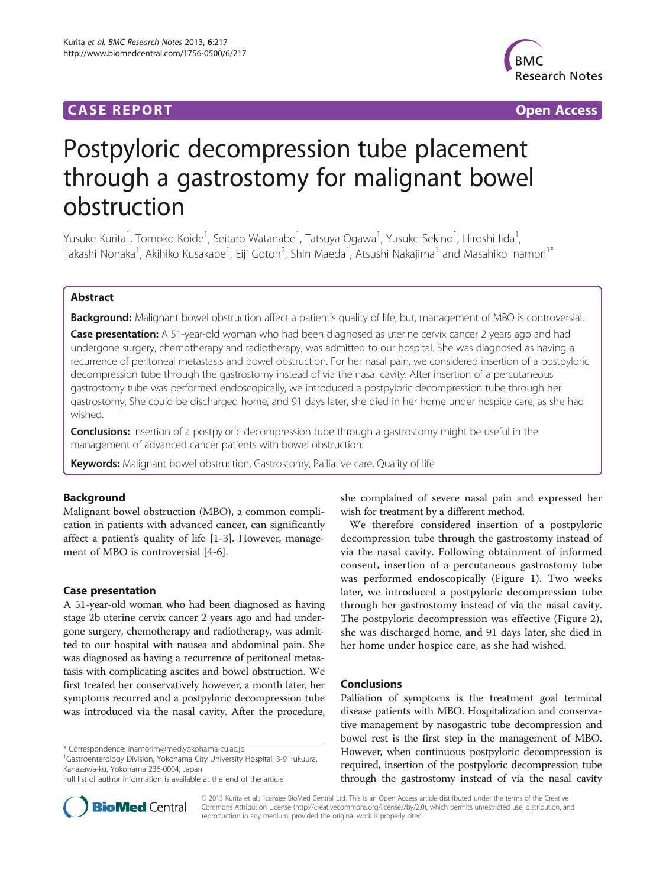# **CASE REPORT CASE REPORT CASE ACCESS**



# Postpyloric decompression tube placement through a gastrostomy for malignant bowel obstruction

Yusuke Kurita<sup>1</sup>, Tomoko Koide<sup>1</sup>, Seitaro Watanabe<sup>1</sup>, Tatsuya Ogawa<sup>1</sup>, Yusuke Sekino<sup>1</sup>, Hiroshi Iida<sup>1</sup> , Takashi Nonaka<sup>1</sup>, Akihiko Kusakabe<sup>1</sup>, Eiji Gotoh<sup>2</sup>, Shin Maeda<sup>1</sup>, Atsushi Nakajima<sup>1</sup> and Masahiko Inamori<sup>1\*</sup>

# Abstract

Background: Malignant bowel obstruction affect a patient's quality of life, but, management of MBO is controversial.

Case presentation: A 51-year-old woman who had been diagnosed as uterine cervix cancer 2 years ago and had undergone surgery, chemotherapy and radiotherapy, was admitted to our hospital. She was diagnosed as having a recurrence of peritoneal metastasis and bowel obstruction. For her nasal pain, we considered insertion of a postpyloric decompression tube through the gastrostomy instead of via the nasal cavity. After insertion of a percutaneous gastrostomy tube was performed endoscopically, we introduced a postpyloric decompression tube through her gastrostomy. She could be discharged home, and 91 days later, she died in her home under hospice care, as she had wished.

**Conclusions:** Insertion of a postpyloric decompression tube through a gastrostomy might be useful in the management of advanced cancer patients with bowel obstruction.

Keywords: Malignant bowel obstruction, Gastrostomy, Palliative care, Quality of life

# Background

Malignant bowel obstruction (MBO), a common complication in patients with advanced cancer, can significantly affect a patient's quality of life [[1-3](#page-1-0)]. However, management of MBO is controversial [\[4](#page-1-0)-[6\]](#page-1-0).

# Case presentation

A 51-year-old woman who had been diagnosed as having stage 2b uterine cervix cancer 2 years ago and had undergone surgery, chemotherapy and radiotherapy, was admitted to our hospital with nausea and abdominal pain. She was diagnosed as having a recurrence of peritoneal metastasis with complicating ascites and bowel obstruction. We first treated her conservatively however, a month later, her symptoms recurred and a postpyloric decompression tube was introduced via the nasal cavity. After the procedure,

\* Correspondence: [inamorim@med.yokohama-cu.ac.jp](mailto:inamorim@med.yokohama-cu.ac.jp) <sup>1</sup>

<sup>1</sup>Gastroenterology Division, Yokohama City University Hospital, 3-9 Fukuura, Kanazawa-ku, Yokohama 236-0004, Japan



We therefore considered insertion of a postpyloric decompression tube through the gastrostomy instead of via the nasal cavity. Following obtainment of informed consent, insertion of a percutaneous gastrostomy tube was performed endoscopically (Figure [1](#page-1-0)). Two weeks later, we introduced a postpyloric decompression tube through her gastrostomy instead of via the nasal cavity. The postpyloric decompression was effective (Figure [2](#page-1-0)), she was discharged home, and 91 days later, she died in her home under hospice care, as she had wished.

## Conclusions

Palliation of symptoms is the treatment goal terminal disease patients with MBO. Hospitalization and conservative management by nasogastric tube decompression and bowel rest is the first step in the management of MBO. However, when continuous postpyloric decompression is required, insertion of the postpyloric decompression tube through the gastrostomy instead of via the nasal cavity



© 2013 Kurita et al.; licensee BioMed Central Ltd. This is an Open Access article distributed under the terms of the Creative Commons Attribution License [\(http://creativecommons.org/licenses/by/2.0\)](http://creativecommons.org/licenses/by/2.0), which permits unrestricted use, distribution, and reproduction in any medium, provided the original work is properly cited.

Full list of author information is available at the end of the article